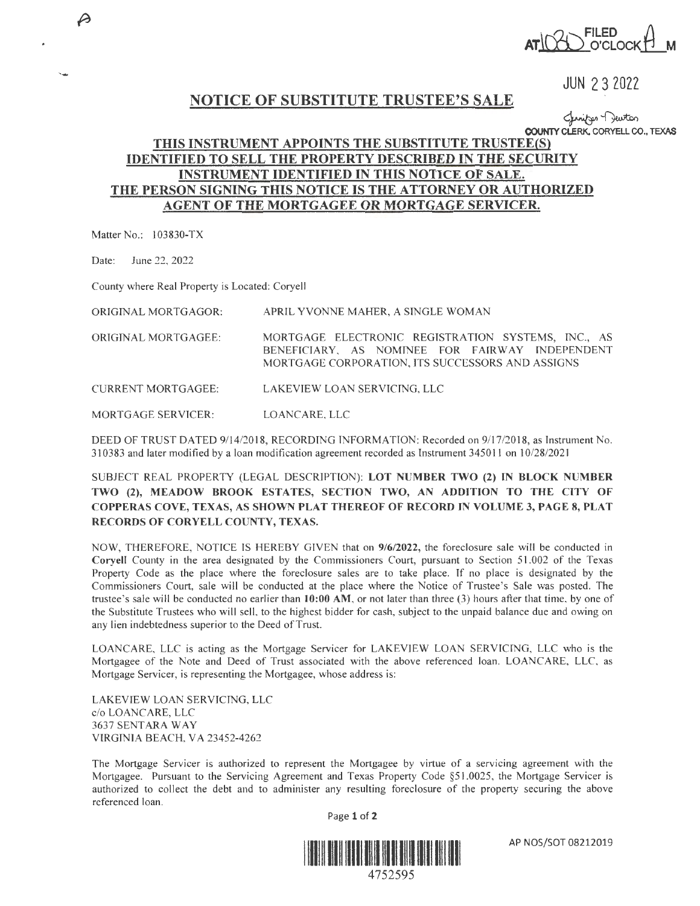

JUN 2 3 2022

## NOTICE OF SUBSTITUTE TRUSTEE'S SALE

س<br>County Clerk, CORYELL CO., TEXAS<br>**ي** COUNTY CLERK, CORYELL CO., TEXAS

## **THIS INSTRUMENT APPOINTS THE SUBSTITUTE TRUSTEE(S) IDENTIFIED TO SELL THE PROPERTY DESCRIBED** IN **THE SECURITY INSTRUMENT IDENTIFIED IN THIS NOTICE OF SALE. THE PERSON SIGNING THIS NOTICE IS THE ATTORNEY OR AUTHORIZED AGENT OF THE MORTGAGEE OR MORTGAGE SERVICER.**

Matter No.: 103830-TX

-

 $\beta$ 

Date: June 22, 2022

County where Real Property is Located: Coryell

ORIGINAL MORTGAGOR: APRIL YVONNE MAHER, A SINGLE WOMAN

ORIGINAL MORTGAGEE: MORTGAGE ELECTRONIC REGISTRATION SYSTEMS, INC., AS BENEFICIARY, AS NOMINEE FOR FAIRWAY INDEPENDENT MORTGAGE CORPORATION, ITS SUCCESSORS AND ASSIGNS

CURRENT MORTGAGEE: LAKEVIEW LOAN SERVICING, LLC

MORTGAGE SERVICER: LOANCARE, LLC

DEED OF TRUST DATED 9/1 4/2018, RECORDING INFORMATION: Recorded on 9/17/2018, as Instrument No. 310383 and later modified by a loan modification agreement recorded as Instrument 345011 on J 0/28/2021

SUBJECT REAL PROPERTY (LEGAL DESCRIPTION): **LOT NUMBER TWO (2) IN BLOCK NUMBER TWO (2), MEADOW BROOK ESTATES, SECTION TWO, AN ADDITION TO THE CITY OF COPPERAS COVE, TEXAS, AS SHOWN PLAT THEREOF OF RECORD** IN **VOLUME 3, PAGE 8, PLAT RECORDS OF CORYELL COUNTY, TEXAS.** 

NOW, THEREFORE, NOTICE IS HEREBY GIVEN that on  $9/6/2022$ , the foreclosure sale will be conducted in **Coryell** County in the area designated by the Commissioners Court, pursuant to Section 51 .002 of the Texas Property Code as the place where the foreclosure sales are to take place. If no place is designated by the Commissioners Court, sale will be conducted at the place where the Notice of Trustee's Sale was posted. The trustee 's sale will be conducted no earlier than **10:00 AM,** or not later than three (3) hours after that time, by one of the Substitute Trustees who will sell, to the highest bidder for cash, subject to the unpaid balance due and owing on any lien indebtedness superior to the Deed of Trust.

LOANCARE, LLC is acting as the Mortgage Servicer for LAKEVIEW LOAN SERVICING, LLC who is the Mortgagee of the Note and Deed of Trust associated with the above referenced loan. LOANCARE, LLC, as Mortgage Servicer, is representing the Mortgagee, whose address is:

LAKEVIEW LOAN SERVICING, LLC c/o LOANCARE, LLC 3637 SENTARA WAY VIRGINIA BEACH, VA 23452-4262

The Mortgage Servicer is authorized to represent the Mortgagee by virtue of a servicing agreement with the Mortgagee. Pursuant to the Servicing Agreement and Texas Property Code §51.0025, the Mortgage Servicer is authorized to collect the debt and to administer any resulting foreclosure of the property securing the above referenced loan.

Page 1 of 2



AP NOS/SOT 08212019